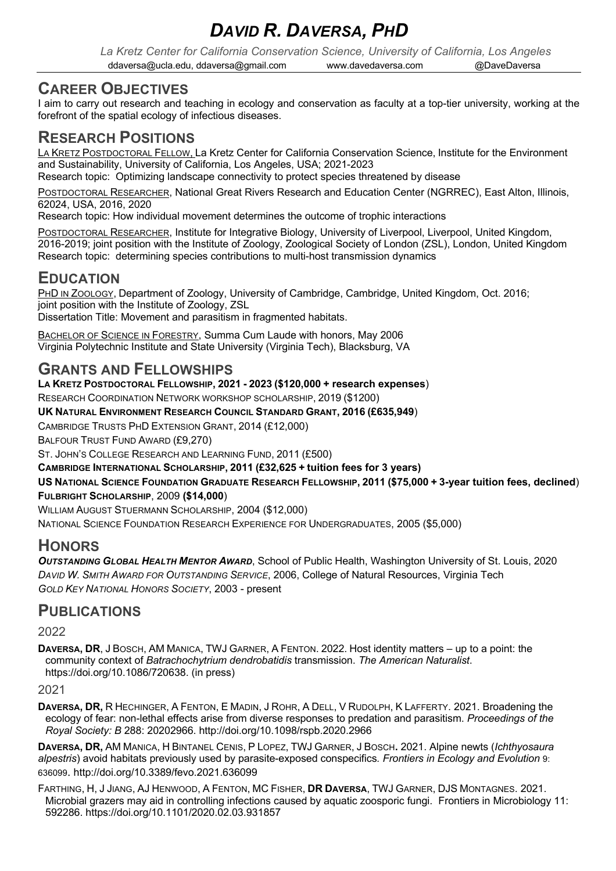# *DAVID R. DAVERSA, PHD*

*La Kretz Center for California Conservation Science, University of California, Los Angeles* ddaversa@ucla.edu, ddaversa@gmail.com www.davedaversa.com @DaveDaversa

# **CAREER OBJECTIVES**

I aim to carry out research and teaching in ecology and conservation as faculty at a top-tier university, working at the forefront of the spatial ecology of infectious diseases.

# **RESEARCH POSITIONS**

LA KRETZ POSTDOCTORAL FELLOW, La Kretz Center for California Conservation Science, Institute for the Environment and Sustainability, University of California, Los Angeles, USA; 2021-2023

Research topic: Optimizing landscape connectivity to protect species threatened by disease

POSTDOCTORAL RESEARCHER, National Great Rivers Research and Education Center (NGRREC), East Alton, Illinois, 62024, USA, 2016, 2020

Research topic: How individual movement determines the outcome of trophic interactions

POSTDOCTORAL RESEARCHER, Institute for Integrative Biology, University of Liverpool, Liverpool, United Kingdom, 2016-2019; joint position with the Institute of Zoology, Zoological Society of London (ZSL), London, United Kingdom Research topic: determining species contributions to multi-host transmission dynamics

# **EDUCATION**

PHD IN ZOOLOGY, Department of Zoology, University of Cambridge, Cambridge, United Kingdom, Oct. 2016; joint position with the Institute of Zoology, ZSL Dissertation Title: Movement and parasitism in fragmented habitats.

BACHELOR OF SCIENCE IN FORESTRY, Summa Cum Laude with honors, May 2006 Virginia Polytechnic Institute and State University (Virginia Tech), Blacksburg, VA

# **GRANTS AND FELLOWSHIPS**

**LA KRETZ POSTDOCTORAL FELLOWSHIP, 2021 - 2023 (\$120,000 + research expenses**)

RESEARCH COORDINATION NETWORK WORKSHOP SCHOLARSHIP, 2019 (\$1200)

**UK NATURAL ENVIRONMENT RESEARCH COUNCIL STANDARD GRANT, 2016 (£635,949**)

CAMBRIDGE TRUSTS PHD EXTENSION GRANT, 2014 (£12,000)

BALFOUR TRUST FUND AWARD (£9,270)

ST. JOHN'S COLLEGE RESEARCH AND LEARNING FUND, 2011 (£500)

**CAMBRIDGE INTERNATIONAL SCHOLARSHIP, 2011 (£32,625 + tuition fees for 3 years)**

**US NATIONAL SCIENCE FOUNDATION GRADUATE RESEARCH FELLOWSHIP, 2011 (\$75,000 + 3-year tuition fees, declined**) **FULBRIGHT SCHOLARSHIP**, 2009 **(\$14,000**)

WILLIAM AUGUST STUERMANN SCHOLARSHIP, 2004 (\$12,000)

NATIONAL SCIENCE FOUNDATION RESEARCH EXPERIENCE FOR UNDERGRADUATES, 2005 (\$5,000)

## **HONORS**

*OUTSTANDING GLOBAL HEALTH MENTOR AWARD*, School of Public Health, Washington University of St. Louis, 2020 *DAVID W. SMITH AWARD FOR OUTSTANDING SERVICE*, 2006, College of Natural Resources, Virginia Tech *GOLD KEY NATIONAL HONORS SOCIETY*, 2003 - present

# **PUBLICATIONS**

2022

**DAVERSA, DR**, J BOSCH, AM MANICA, TWJ GARNER, A FENTON. 2022. Host identity matters – up to a point: the community context of *Batrachochytrium dendrobatidis* transmission. *The American Naturalist*. https://doi.org/10.1086/720638. (in press)

#### 2021

**DAVERSA, DR,** R HECHINGER, A FENTON, E MADIN, J ROHR, A DELL, V RUDOLPH, K LAFFERTY. 2021. Broadening the ecology of fear: non-lethal effects arise from diverse responses to predation and parasitism. *Proceedings of the Royal Society: B* 288: 20202966. http://doi.org/10.1098/rspb.2020.2966

**DAVERSA, DR,** AM MANICA, H BINTANEL CENIS, P LOPEZ, TWJ GARNER, J BOSCH**.** 2021. Alpine newts (*Ichthyosaura alpestris*) avoid habitats previously used by parasite-exposed conspecifics*. Frontiers in Ecology and Evolution* 9: 636099. http://doi.org/10.3389/fevo.2021.636099

FARTHING, H, J JIANG, AJ HENWOOD, A FENTON, MC FISHER, **DR DAVERSA**, TWJ GARNER, DJS MONTAGNES. 2021. Microbial grazers may aid in controlling infections caused by aquatic zoosporic fungi. Frontiers in Microbiology 11: 592286. https://doi.org/10.1101/2020.02.03.931857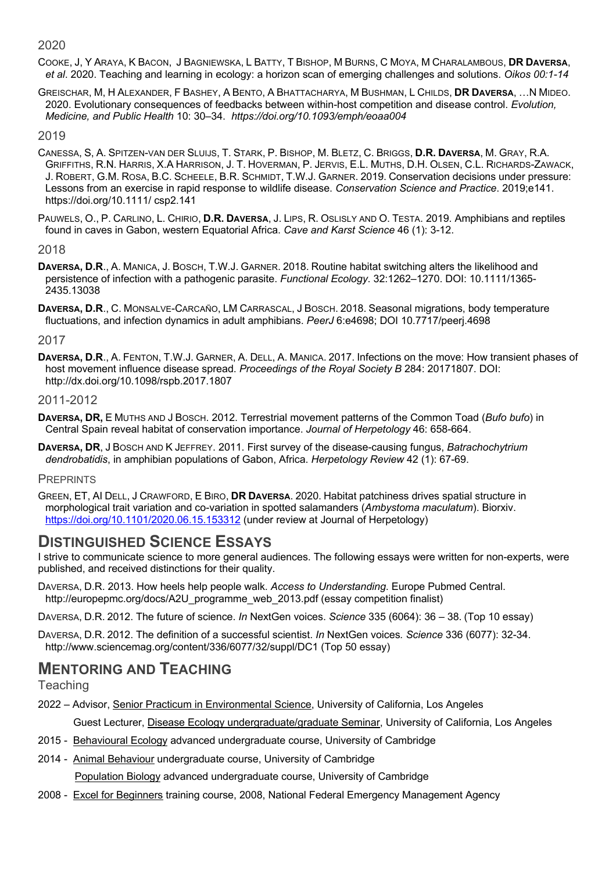2020

COOKE, J, Y ARAYA, K BACON, J BAGNIEWSKA, L BATTY, T BISHOP, M BURNS, C MOYA, M CHARALAMBOUS, **DR DAVERSA**, *et al*. 2020. Teaching and learning in ecology: a horizon scan of emerging challenges and solutions. *Oikos 00:1-14*

GREISCHAR, M, H ALEXANDER, F BASHEY, A BENTO, A BHATTACHARYA, M BUSHMAN, L CHILDS, **DR DAVERSA**, …N MIDEO. 2020. Evolutionary consequences of feedbacks between within-host competition and disease control. *Evolution, Medicine, and Public Health* 10: 30–34. *https://doi.org/10.1093/emph/eoaa004*

#### 2019

- CANESSA, S, A. SPITZEN-VAN DER SLUIJS, T. STARK, P. BISHOP, M. BLETZ, C. BRIGGS, **D.R. DAVERSA**, M. GRAY, R.A. GRIFFITHS, R.N. HARRIS, X.A HARRISON, J. T. HOVERMAN, P. JERVIS, E.L. MUTHS, D.H. OLSEN, C.L. RICHARDS-ZAWACK, J. ROBERT, G.M. ROSA, B.C. SCHEELE, B.R. SCHMIDT, T.W.J. GARNER. 2019. Conservation decisions under pressure: Lessons from an exercise in rapid response to wildlife disease. *Conservation Science and Practice*. 2019;e141. https://doi.org/10.1111/ csp2.141
- PAUWELS, O., P. CARLINO, L. CHIRIO, **D.R. DAVERSA**, J. LIPS, R. OSLISLY AND O. TESTA. 2019. Amphibians and reptiles found in caves in Gabon, western Equatorial Africa. *Cave and Karst Science* 46 (1): 3-12.

#### 2018

- **DAVERSA, D.R**., A. MANICA, J. BOSCH, T.W.J. GARNER. 2018. Routine habitat switching alters the likelihood and persistence of infection with a pathogenic parasite. *Functional Ecology*. 32:1262–1270. DOI: 10.1111/1365- 2435.13038
- **DAVERSA, D.R**., C. MONSALVE-CARCAÑO, LM CARRASCAL, J BOSCH. 2018. Seasonal migrations, body temperature fluctuations, and infection dynamics in adult amphibians. *PeerJ* 6:e4698; DOI 10.7717/peerj.4698

#### 2017

**DAVERSA, D.R**., A. FENTON, T.W.J. GARNER, A. DELL, A. MANICA. 2017. Infections on the move: How transient phases of host movement influence disease spread. *Proceedings of the Royal Society B* 284: 20171807. DOI: http://dx.doi.org/10.1098/rspb.2017.1807

#### 2011-2012

- **DAVERSA, DR,** E MUTHS AND J BOSCH. 2012. Terrestrial movement patterns of the Common Toad (*Bufo bufo*) in Central Spain reveal habitat of conservation importance. *Journal of Herpetology* 46: 658-664.
- **DAVERSA, DR**, J BOSCH AND K JEFFREY. 2011. First survey of the disease-causing fungus, *Batrachochytrium dendrobatidis*, in amphibian populations of Gabon, Africa. *Herpetology Review* 42 (1): 67-69.

#### **PREPRINTS**

GREEN, ET, AI DELL, J CRAWFORD, E BIRO, **DR DAVERSA**. 2020. Habitat patchiness drives spatial structure in morphological trait variation and co-variation in spotted salamanders (*Ambystoma maculatum*). Biorxiv. https://doi.org/10.1101/2020.06.15.153312 (under review at Journal of Herpetology)

### **DISTINGUISHED SCIENCE ESSAYS**

- I strive to communicate science to more general audiences. The following essays were written for non-experts, were published, and received distinctions for their quality.
- DAVERSA, D.R. 2013. How heels help people walk. *Access to Understanding*. Europe Pubmed Central. http://europepmc.org/docs/A2U\_programme\_web\_2013.pdf (essay competition finalist)
- DAVERSA, D.R. 2012. The future of science. *In* NextGen voices. *Science* 335 (6064): 36 38. (Top 10 essay)
- DAVERSA, D.R. 2012. The definition of a successful scientist. *In* NextGen voices*. Science* 336 (6077): 32-34. http://www.sciencemag.org/content/336/6077/32/suppl/DC1 (Top 50 essay)

# **MENTORING AND TEACHING**

**Teaching** 

- 2022 Advisor, Senior Practicum in Environmental Science, University of California, Los Angeles
	- Guest Lecturer, Disease Ecology undergraduate/graduate Seminar, University of California, Los Angeles
- 2015 Behavioural Ecology advanced undergraduate course, University of Cambridge
- 2014 Animal Behaviour undergraduate course, University of Cambridge Population Biology advanced undergraduate course, University of Cambridge
- 2008 Excel for Beginners training course, 2008, National Federal Emergency Management Agency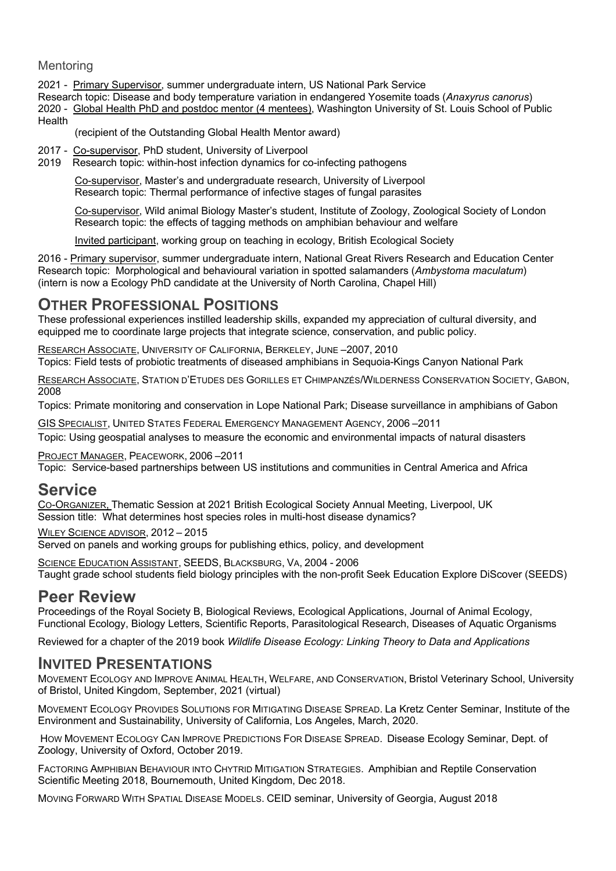#### Mentoring

2021 - Primary Supervisor, summer undergraduate intern, US National Park Service

Research topic: Disease and body temperature variation in endangered Yosemite toads (*Anaxyrus canorus*) 2020 - Global Health PhD and postdoc mentor (4 mentees), Washington University of St. Louis School of Public Health

(recipient of the Outstanding Global Health Mentor award)

- 2017 Co-supervisor, PhD student, University of Liverpool
- 2019 Research topic: within-host infection dynamics for co-infecting pathogens

Co-supervisor, Master's and undergraduate research, University of Liverpool Research topic: Thermal performance of infective stages of fungal parasites

Co-supervisor, Wild animal Biology Master's student, Institute of Zoology, Zoological Society of London Research topic: the effects of tagging methods on amphibian behaviour and welfare

Invited participant, working group on teaching in ecology, British Ecological Society

2016 - Primary supervisor, summer undergraduate intern, National Great Rivers Research and Education Center Research topic: Morphological and behavioural variation in spotted salamanders (*Ambystoma maculatum*) (intern is now a Ecology PhD candidate at the University of North Carolina, Chapel Hill)

### **OTHER PROFESSIONAL POSITIONS**

These professional experiences instilled leadership skills, expanded my appreciation of cultural diversity, and equipped me to coordinate large projects that integrate science, conservation, and public policy.

RESEARCH ASSOCIATE, UNIVERSITY OF CALIFORNIA, BERKELEY, JUNE –2007, 2010 Topics: Field tests of probiotic treatments of diseased amphibians in Sequoia-Kings Canyon National Park

RESEARCH ASSOCIATE, STATION D'ETUDES DES GORILLES ET CHIMPANZÉS/WILDERNESS CONSERVATION SOCIETY, GABON, 2008

Topics: Primate monitoring and conservation in Lope National Park; Disease surveillance in amphibians of Gabon

GIS SPECIALIST, UNITED STATES FEDERAL EMERGENCY MANAGEMENT AGENCY, 2006 –2011

Topic: Using geospatial analyses to measure the economic and environmental impacts of natural disasters

PROJECT MANAGER, PEACEWORK, 2006 –2011 Topic: Service-based partnerships between US institutions and communities in Central America and Africa

### **Service**

CO-ORGANIZER, Thematic Session at 2021 British Ecological Society Annual Meeting, Liverpool, UK Session title: What determines host species roles in multi-host disease dynamics?

WILEY SCIENCE ADVISOR, 2012 – 2015

Served on panels and working groups for publishing ethics, policy, and development

SCIENCE EDUCATION ASSISTANT, SEEDS, BLACKSBURG, VA, 2004 - 2006 Taught grade school students field biology principles with the non-profit Seek Education Explore DiScover (SEEDS)

## **Peer Review**

Proceedings of the Royal Society B, Biological Reviews, Ecological Applications, Journal of Animal Ecology, Functional Ecology, Biology Letters, Scientific Reports, Parasitological Research, Diseases of Aquatic Organisms

Reviewed for a chapter of the 2019 book *Wildlife Disease Ecology: Linking Theory to Data and Applications*

### **INVITED PRESENTATIONS**

MOVEMENT ECOLOGY AND IMPROVE ANIMAL HEALTH, WELFARE, AND CONSERVATION, Bristol Veterinary School, University of Bristol, United Kingdom, September, 2021 (virtual)

MOVEMENT ECOLOGY PROVIDES SOLUTIONS FOR MITIGATING DISEASE SPREAD. La Kretz Center Seminar, Institute of the Environment and Sustainability, University of California, Los Angeles, March, 2020.

HOW MOVEMENT ECOLOGY CAN IMPROVE PREDICTIONS FOR DISEASE SPREAD. Disease Ecology Seminar, Dept. of Zoology, University of Oxford, October 2019.

FACTORING AMPHIBIAN BEHAVIOUR INTO CHYTRID MITIGATION STRATEGIES. Amphibian and Reptile Conservation Scientific Meeting 2018, Bournemouth, United Kingdom, Dec 2018.

MOVING FORWARD WITH SPATIAL DISEASE MODELS. CEID seminar, University of Georgia, August 2018